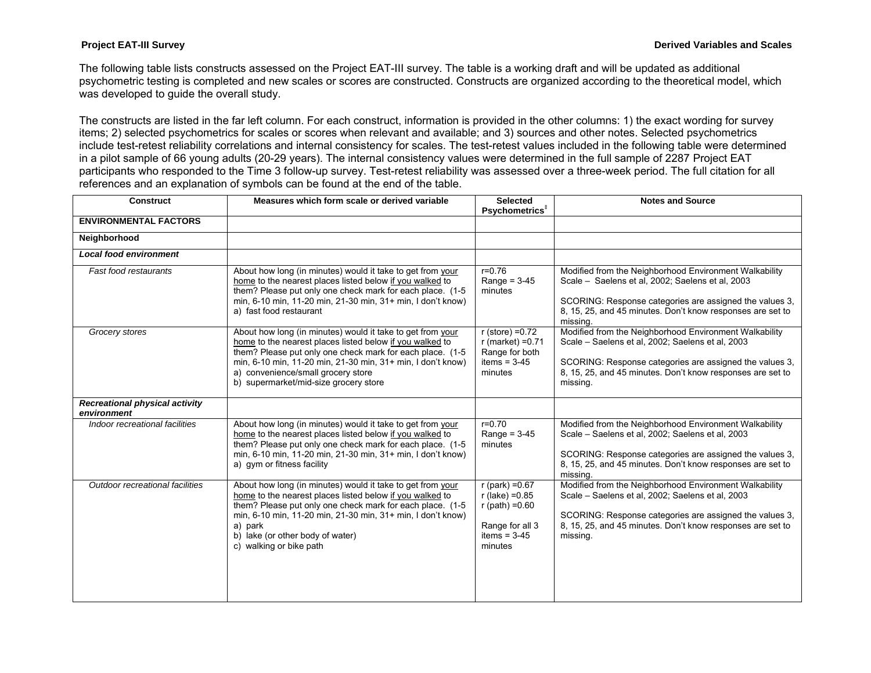The following table lists constructs assessed on the Project EAT-III survey. The table is a working draft and will be updated as additional psychometric testing is completed and new scales or scores are constructed. Constructs are organized according to the theoretical model, which was developed to guide the overall study.

The constructs are listed in the far left column. For each construct, information is provided in the other columns: 1) the exact wording for survey items; 2) selected psychometrics for scales or scores when relevant and available; and 3) sources and other notes. Selected psychometrics include test-retest reliability correlations and internal consistency for scales. The test-retest values included in the following table were determined in a pilot sample of 66 young adults (20-29 years). The internal consistency values were determined in the full sample of 2287 Project EAT participants who responded to the Time 3 follow-up survey. Test-retest reliability was assessed over a three-week period. The full citation for all references and an explanation of symbols can be found at the end of the table.

| <b>Construct</b>                              | Measures which form scale or derived variable                                                                                                                                                                                                                                                                                     | <b>Selected</b><br>Psychometrics <sup>#</sup>                                                                 | <b>Notes and Source</b>                                                                                                                                                                                                                         |
|-----------------------------------------------|-----------------------------------------------------------------------------------------------------------------------------------------------------------------------------------------------------------------------------------------------------------------------------------------------------------------------------------|---------------------------------------------------------------------------------------------------------------|-------------------------------------------------------------------------------------------------------------------------------------------------------------------------------------------------------------------------------------------------|
| <b>ENVIRONMENTAL FACTORS</b>                  |                                                                                                                                                                                                                                                                                                                                   |                                                                                                               |                                                                                                                                                                                                                                                 |
| Neighborhood                                  |                                                                                                                                                                                                                                                                                                                                   |                                                                                                               |                                                                                                                                                                                                                                                 |
| <b>Local food environment</b>                 |                                                                                                                                                                                                                                                                                                                                   |                                                                                                               |                                                                                                                                                                                                                                                 |
| Fast food restaurants                         | About how long (in minutes) would it take to get from your<br>home to the nearest places listed below if you walked to<br>them? Please put only one check mark for each place. (1-5<br>min, 6-10 min, 11-20 min, 21-30 min, 31+ min, I don't know)<br>a) fast food restaurant                                                     | $r = 0.76$<br>Range = $3-45$<br>minutes                                                                       | Modified from the Neighborhood Environment Walkability<br>Scale - Saelens et al, 2002; Saelens et al, 2003<br>SCORING: Response categories are assigned the values 3,<br>8, 15, 25, and 45 minutes. Don't know responses are set to<br>missing. |
| Grocery stores                                | About how long (in minutes) would it take to get from your<br>home to the nearest places listed below if you walked to<br>them? Please put only one check mark for each place. (1-5<br>min, 6-10 min, 11-20 min, 21-30 min, 31+ min, I don't know)<br>a) convenience/small grocery store<br>b) supermarket/mid-size grocery store | $r$ (store) = 0.72<br>$r$ (market) = $0.71$<br>Range for both<br>items = $3-45$<br>minutes                    | Modified from the Neighborhood Environment Walkability<br>Scale - Saelens et al, 2002; Saelens et al, 2003<br>SCORING: Response categories are assigned the values 3,<br>8, 15, 25, and 45 minutes. Don't know responses are set to<br>missing. |
| Recreational physical activity<br>environment |                                                                                                                                                                                                                                                                                                                                   |                                                                                                               |                                                                                                                                                                                                                                                 |
| Indoor recreational facilities                | About how long (in minutes) would it take to get from your<br>home to the nearest places listed below if you walked to<br>them? Please put only one check mark for each place. (1-5<br>min, 6-10 min, 11-20 min, 21-30 min, 31+ min, I don't know)<br>a) gym or fitness facility                                                  | $r = 0.70$<br>Range = $3-45$<br>minutes                                                                       | Modified from the Neighborhood Environment Walkability<br>Scale - Saelens et al, 2002; Saelens et al, 2003<br>SCORING: Response categories are assigned the values 3,<br>8, 15, 25, and 45 minutes. Don't know responses are set to<br>missing. |
| Outdoor recreational facilities               | About how long (in minutes) would it take to get from your<br>home to the nearest places listed below if you walked to<br>them? Please put only one check mark for each place. (1-5<br>min, 6-10 min, 11-20 min, 21-30 min, 31+ min, I don't know)<br>a) park<br>b) lake (or other body of water)<br>c) walking or bike path      | $r$ (park) = $0.67$<br>$r$ (lake) = 0.85<br>$r$ (path) = 0.60<br>Range for all 3<br>items = $3-45$<br>minutes | Modified from the Neighborhood Environment Walkability<br>Scale - Saelens et al, 2002; Saelens et al, 2003<br>SCORING: Response categories are assigned the values 3,<br>8, 15, 25, and 45 minutes. Don't know responses are set to<br>missing. |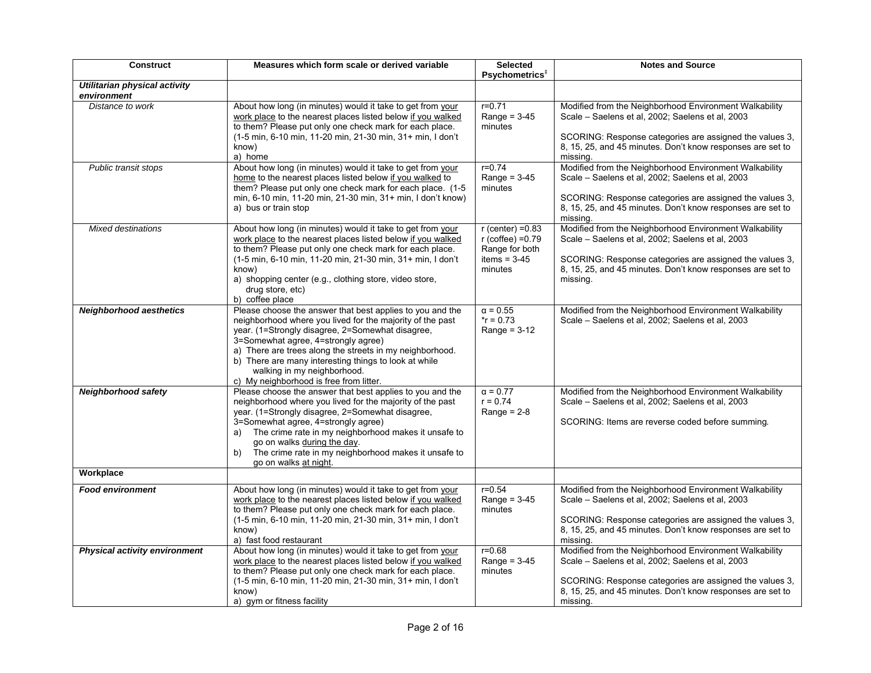| <b>Construct</b>                                    | Measures which form scale or derived variable                                                                                                                                                                                                                                                                                                                                                                    | <b>Selected</b><br>Psychometrics <sup>+</sup>                                                 | <b>Notes and Source</b>                                                                                                                                                                                                                         |
|-----------------------------------------------------|------------------------------------------------------------------------------------------------------------------------------------------------------------------------------------------------------------------------------------------------------------------------------------------------------------------------------------------------------------------------------------------------------------------|-----------------------------------------------------------------------------------------------|-------------------------------------------------------------------------------------------------------------------------------------------------------------------------------------------------------------------------------------------------|
| <b>Utilitarian physical activity</b><br>environment |                                                                                                                                                                                                                                                                                                                                                                                                                  |                                                                                               |                                                                                                                                                                                                                                                 |
| Distance to work                                    | About how long (in minutes) would it take to get from your<br>work place to the nearest places listed below if you walked<br>to them? Please put only one check mark for each place.<br>(1-5 min, 6-10 min, 11-20 min, 21-30 min, 31+ min, I don't<br>know)<br>a) home                                                                                                                                           | $r = 0.71$<br>Range = $3-45$<br>minutes                                                       | Modified from the Neighborhood Environment Walkability<br>Scale - Saelens et al, 2002; Saelens et al, 2003<br>SCORING: Response categories are assigned the values 3,<br>8, 15, 25, and 45 minutes. Don't know responses are set to<br>missing. |
| Public transit stops                                | About how long (in minutes) would it take to get from your<br>home to the nearest places listed below if you walked to<br>them? Please put only one check mark for each place. (1-5)<br>min, 6-10 min, 11-20 min, 21-30 min, 31+ min, I don't know)<br>a) bus or train stop                                                                                                                                      | $r = 0.74$<br>Range = $3-45$<br>minutes                                                       | Modified from the Neighborhood Environment Walkability<br>Scale - Saelens et al, 2002; Saelens et al, 2003<br>SCORING: Response categories are assigned the values 3,<br>8, 15, 25, and 45 minutes. Don't know responses are set to<br>missing. |
| <b>Mixed destinations</b>                           | About how long (in minutes) would it take to get from your<br>work place to the nearest places listed below if you walked<br>to them? Please put only one check mark for each place.<br>(1-5 min, 6-10 min, 11-20 min, 21-30 min, 31+ min, I don't<br>know)<br>a) shopping center (e.g., clothing store, video store,<br>drug store, etc)<br>b) coffee place                                                     | $r$ (center) = $0.83$<br>$r$ (coffee) = $0.79$<br>Range for both<br>items = $3-45$<br>minutes | Modified from the Neighborhood Environment Walkability<br>Scale - Saelens et al, 2002; Saelens et al, 2003<br>SCORING: Response categories are assigned the values 3,<br>8, 15, 25, and 45 minutes. Don't know responses are set to<br>missing. |
| <b>Neighborhood aesthetics</b>                      | Please choose the answer that best applies to you and the<br>neighborhood where you lived for the majority of the past<br>year. (1=Strongly disagree, 2=Somewhat disagree,<br>3=Somewhat agree, 4=strongly agree)<br>a) There are trees along the streets in my neighborhood.<br>b) There are many interesting things to look at while<br>walking in my neighborhood.<br>c) My neighborhood is free from litter. | $\alpha = 0.55$<br>$*$ r = 0.73<br>Range = $3-12$                                             | Modified from the Neighborhood Environment Walkability<br>Scale - Saelens et al, 2002; Saelens et al, 2003                                                                                                                                      |
| <b>Neighborhood safety</b>                          | Please choose the answer that best applies to you and the<br>neighborhood where you lived for the majority of the past<br>year. (1=Strongly disagree, 2=Somewhat disagree,<br>3=Somewhat agree, 4=strongly agree)<br>The crime rate in my neighborhood makes it unsafe to<br>a)<br>go on walks during the day.<br>The crime rate in my neighborhood makes it unsafe to<br>b)<br>go on walks at night.            | $\alpha = 0.77$<br>$r = 0.74$<br>Range = $2-8$                                                | Modified from the Neighborhood Environment Walkability<br>Scale - Saelens et al, 2002; Saelens et al, 2003<br>SCORING: Items are reverse coded before summing.                                                                                  |
| Workplace                                           |                                                                                                                                                                                                                                                                                                                                                                                                                  |                                                                                               |                                                                                                                                                                                                                                                 |
| <b>Food environment</b>                             | About how long (in minutes) would it take to get from your<br>work place to the nearest places listed below if you walked<br>to them? Please put only one check mark for each place.<br>(1-5 min, 6-10 min, 11-20 min, 21-30 min, 31+ min, I don't<br>know)<br>a) fast food restaurant                                                                                                                           | $r = 0.54$<br>Range = $3-45$<br>minutes                                                       | Modified from the Neighborhood Environment Walkability<br>Scale - Saelens et al, 2002; Saelens et al, 2003<br>SCORING: Response categories are assigned the values 3,<br>8, 15, 25, and 45 minutes. Don't know responses are set to<br>missing. |
| <b>Physical activity environment</b>                | About how long (in minutes) would it take to get from your<br>work place to the nearest places listed below if you walked<br>to them? Please put only one check mark for each place.<br>(1-5 min, 6-10 min, 11-20 min, 21-30 min, 31+ min, I don't<br>know)<br>a) gym or fitness facility                                                                                                                        | $r = 0.68$<br>Range = $3-45$<br>minutes                                                       | Modified from the Neighborhood Environment Walkability<br>Scale - Saelens et al, 2002; Saelens et al, 2003<br>SCORING: Response categories are assigned the values 3,<br>8, 15, 25, and 45 minutes. Don't know responses are set to<br>missing. |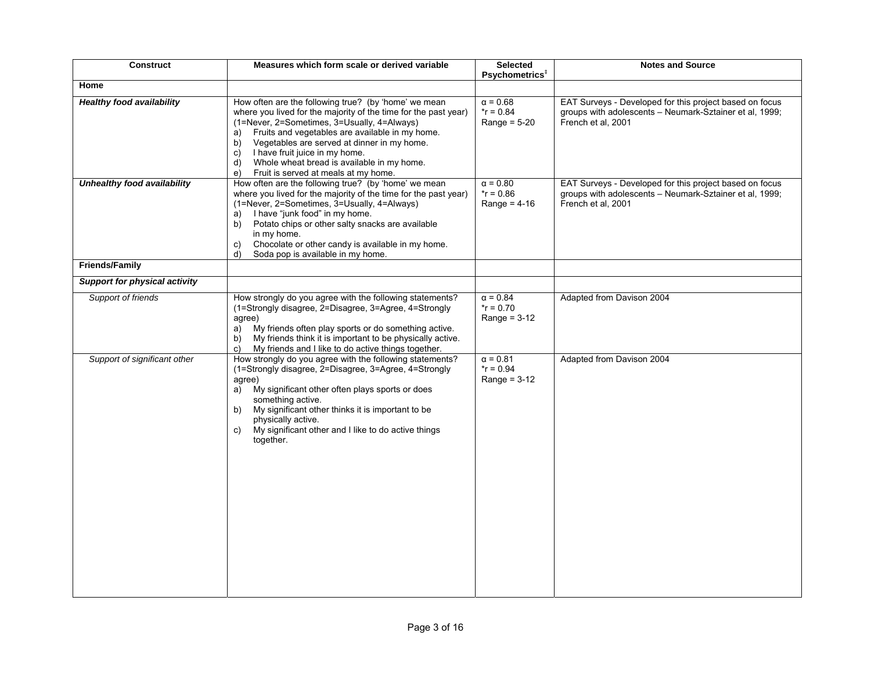| <b>Construct</b>                     | Measures which form scale or derived variable                                                                                                                                                                                                                                                                                                                                                                                  | <b>Selected</b><br>Psychometrics <sup>#</sup>     | <b>Notes and Source</b>                                                                                                                  |
|--------------------------------------|--------------------------------------------------------------------------------------------------------------------------------------------------------------------------------------------------------------------------------------------------------------------------------------------------------------------------------------------------------------------------------------------------------------------------------|---------------------------------------------------|------------------------------------------------------------------------------------------------------------------------------------------|
| Home                                 |                                                                                                                                                                                                                                                                                                                                                                                                                                |                                                   |                                                                                                                                          |
| Healthy food availability            | How often are the following true? (by 'home' we mean<br>where you lived for the majority of the time for the past year)<br>(1=Never, 2=Sometimes, 3=Usually, 4=Always)<br>Fruits and vegetables are available in my home.<br>a)<br>Vegetables are served at dinner in my home.<br>b)<br>I have fruit juice in my home.<br>C)<br>Whole wheat bread is available in my home.<br>d)<br>Fruit is served at meals at my home.<br>e) | $\alpha = 0.68$<br>$*$ r = 0.84<br>Range = $5-20$ | EAT Surveys - Developed for this project based on focus<br>groups with adolescents - Neumark-Sztainer et al, 1999;<br>French et al, 2001 |
| Unhealthy food availability          | How often are the following true? (by 'home' we mean<br>where you lived for the majority of the time for the past year)<br>(1=Never, 2=Sometimes, 3=Usually, 4=Always)<br>I have "junk food" in my home.<br>a)<br>Potato chips or other salty snacks are available<br>b)<br>in my home.<br>Chocolate or other candy is available in my home.<br>C)<br>Soda pop is available in my home.<br>d)                                  | $\alpha = 0.80$<br>$r = 0.86$<br>Range = $4-16$   | EAT Surveys - Developed for this project based on focus<br>groups with adolescents - Neumark-Sztainer et al. 1999;<br>French et al, 2001 |
| Friends/Family                       |                                                                                                                                                                                                                                                                                                                                                                                                                                |                                                   |                                                                                                                                          |
| <b>Support for physical activity</b> |                                                                                                                                                                                                                                                                                                                                                                                                                                |                                                   |                                                                                                                                          |
| Support of friends                   | How strongly do you agree with the following statements?<br>(1=Strongly disagree, 2=Disagree, 3=Agree, 4=Strongly<br>agree)<br>My friends often play sports or do something active.<br>a)<br>My friends think it is important to be physically active.<br>b)<br>My friends and I like to do active things together.<br>C)                                                                                                      | $\alpha = 0.84$<br>$*$ r = 0.70<br>Range = $3-12$ | Adapted from Davison 2004                                                                                                                |
| Support of significant other         | How strongly do you agree with the following statements?<br>(1=Strongly disagree, 2=Disagree, 3=Agree, 4=Strongly<br>agree)<br>My significant other often plays sports or does<br>a)<br>something active.<br>My significant other thinks it is important to be<br>b)<br>physically active.<br>My significant other and I like to do active things<br>C)<br>together.                                                           | $\alpha = 0.81$<br>$r = 0.94$<br>Range = $3-12$   | Adapted from Davison 2004                                                                                                                |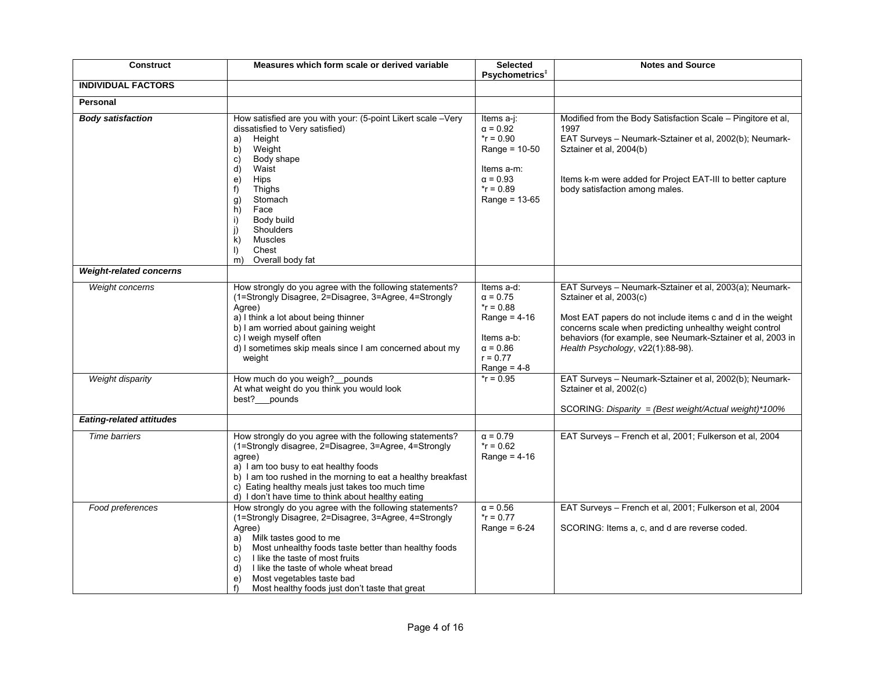| <b>Construct</b>                | Measures which form scale or derived variable                                                                                                                                                                                                                                                                                                                                                               | <b>Selected</b><br>Psychometrics <sup>#</sup>                                                                                           | <b>Notes and Source</b>                                                                                                                                                                                                                                                                                         |
|---------------------------------|-------------------------------------------------------------------------------------------------------------------------------------------------------------------------------------------------------------------------------------------------------------------------------------------------------------------------------------------------------------------------------------------------------------|-----------------------------------------------------------------------------------------------------------------------------------------|-----------------------------------------------------------------------------------------------------------------------------------------------------------------------------------------------------------------------------------------------------------------------------------------------------------------|
| <b>INDIVIDUAL FACTORS</b>       |                                                                                                                                                                                                                                                                                                                                                                                                             |                                                                                                                                         |                                                                                                                                                                                                                                                                                                                 |
| <b>Personal</b>                 |                                                                                                                                                                                                                                                                                                                                                                                                             |                                                                                                                                         |                                                                                                                                                                                                                                                                                                                 |
| <b>Body satisfaction</b>        | How satisfied are you with your: (5-point Likert scale -Very<br>dissatisfied to Very satisfied)<br>Height<br>a)<br>b)<br>Weight<br>Body shape<br>C)<br>d)<br>Waist<br>Hips<br>e)<br>Thighs<br>f)<br>Stomach<br>g)<br>h)<br>Face<br>Body build<br>i)<br>Shoulders<br>j)<br>Muscles<br>k)<br>Chest<br>$\vert$<br>Overall body fat<br>m)                                                                       | Items $a-j$ :<br>$\alpha = 0.92$<br>$*$ r = 0.90<br>Range = $10-50$<br>Items a-m:<br>$\alpha = 0.93$<br>$*$ r = 0.89<br>Range = $13-65$ | Modified from the Body Satisfaction Scale - Pingitore et al,<br>1997<br>EAT Surveys - Neumark-Sztainer et al, 2002(b); Neumark-<br>Sztainer et al, 2004(b)<br>Items k-m were added for Project EAT-III to better capture<br>body satisfaction among males.                                                      |
| <b>Weight-related concerns</b>  |                                                                                                                                                                                                                                                                                                                                                                                                             |                                                                                                                                         |                                                                                                                                                                                                                                                                                                                 |
| Weight concerns                 | How strongly do you agree with the following statements?<br>(1=Strongly Disagree, 2=Disagree, 3=Agree, 4=Strongly<br>Agree)<br>a) I think a lot about being thinner<br>b) I am worried about gaining weight<br>c) I weigh myself often<br>d) I sometimes skip meals since I am concerned about my<br>weight                                                                                                 | Items a-d:<br>$\alpha = 0.75$<br>$*$ r = 0.88<br>Range = $4-16$<br>Items a-b:<br>$\alpha = 0.86$<br>$r = 0.77$<br>Range = $4-8$         | EAT Surveys - Neumark-Sztainer et al, 2003(a); Neumark-<br>Sztainer et al, 2003(c)<br>Most EAT papers do not include items c and d in the weight<br>concerns scale when predicting unhealthy weight control<br>behaviors (for example, see Neumark-Sztainer et al, 2003 in<br>Health Psychology, v22(1):88-98). |
| Weight disparity                | How much do you weigh? __ pounds<br>At what weight do you think you would look<br>best? pounds                                                                                                                                                                                                                                                                                                              | $*$ r = 0.95                                                                                                                            | EAT Surveys - Neumark-Sztainer et al, 2002(b); Neumark-<br>Sztainer et al, 2002(c)<br>SCORING: Disparity = (Best weight/Actual weight)*100%                                                                                                                                                                     |
| <b>Eating-related attitudes</b> |                                                                                                                                                                                                                                                                                                                                                                                                             |                                                                                                                                         |                                                                                                                                                                                                                                                                                                                 |
| <b>Time barriers</b>            | How strongly do you agree with the following statements?<br>(1=Strongly disagree, 2=Disagree, 3=Agree, 4=Strongly<br>agree)<br>a) I am too busy to eat healthy foods<br>b) I am too rushed in the morning to eat a healthy breakfast<br>c) Eating healthy meals just takes too much time<br>d) I don't have time to think about healthy eating                                                              | $\alpha = 0.79$<br>$r = 0.62$<br>Range = $4-16$                                                                                         | EAT Surveys - French et al, 2001; Fulkerson et al, 2004                                                                                                                                                                                                                                                         |
| Food preferences                | How strongly do you agree with the following statements?<br>(1=Strongly Disagree, 2=Disagree, 3=Agree, 4=Strongly<br>Agree)<br>Milk tastes good to me<br>a)<br>Most unhealthy foods taste better than healthy foods<br>b)<br>I like the taste of most fruits<br>C)<br>I like the taste of whole wheat bread<br>d)<br>Most vegetables taste bad<br>e)<br>f<br>Most healthy foods just don't taste that great | $\alpha = 0.56$<br>$*$ r = 0.77<br>Range = $6-24$                                                                                       | EAT Surveys - French et al, 2001; Fulkerson et al, 2004<br>SCORING: Items a, c, and d are reverse coded.                                                                                                                                                                                                        |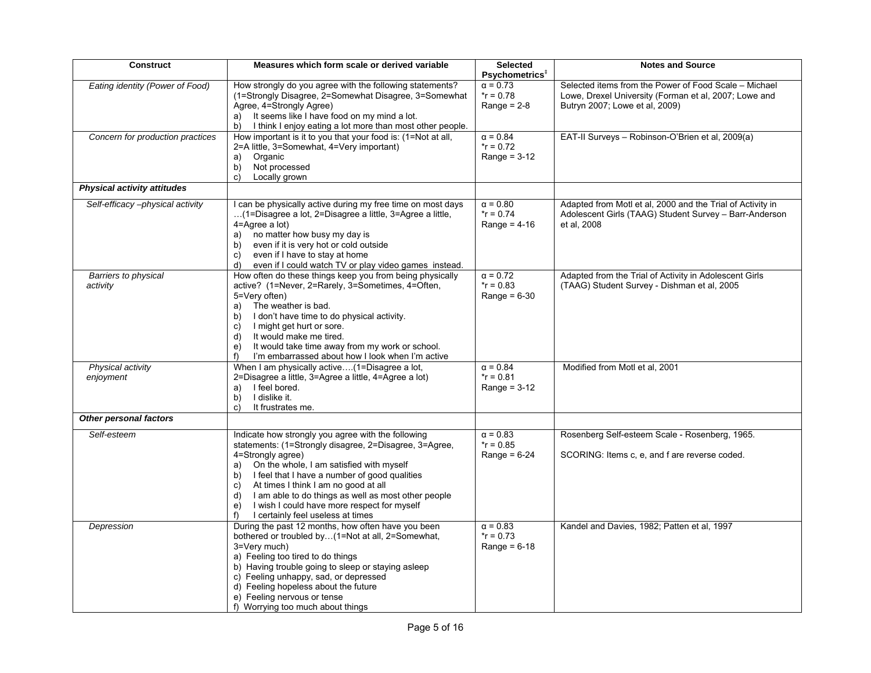| <b>Construct</b>                   | Measures which form scale or derived variable                   | <b>Selected</b><br>Psychometrics <sup>#</sup> | <b>Notes and Source</b>                                    |
|------------------------------------|-----------------------------------------------------------------|-----------------------------------------------|------------------------------------------------------------|
| Eating identity (Power of Food)    | How strongly do you agree with the following statements?        | $\alpha$ = 0.73                               | Selected items from the Power of Food Scale - Michael      |
|                                    | (1=Strongly Disagree, 2=Somewhat Disagree, 3=Somewhat           | $*$ r = 0.78                                  | Lowe, Drexel University (Forman et al, 2007; Lowe and      |
|                                    | Agree, 4=Strongly Agree)                                        | Range = $2-8$                                 | Butryn 2007; Lowe et al, 2009)                             |
|                                    | It seems like I have food on my mind a lot.                     |                                               |                                                            |
|                                    | a)                                                              |                                               |                                                            |
|                                    | I think I enjoy eating a lot more than most other people.<br>b) |                                               |                                                            |
| Concern for production practices   | How important is it to you that your food is: (1=Not at all,    | $\alpha = 0.84$                               | EAT-II Surveys - Robinson-O'Brien et al, 2009(a)           |
|                                    | 2=A little, 3=Somewhat, 4=Very important)                       | $r = 0.72$                                    |                                                            |
|                                    | Organic<br>a)                                                   | Range = $3-12$                                |                                                            |
|                                    | Not processed<br>b)                                             |                                               |                                                            |
|                                    | Locally grown<br>C)                                             |                                               |                                                            |
| <b>Physical activity attitudes</b> |                                                                 |                                               |                                                            |
| Self-efficacy-physical activity    | I can be physically active during my free time on most days     | $\alpha = 0.80$                               | Adapted from Motl et al, 2000 and the Trial of Activity in |
|                                    | (1=Disagree a lot, 2=Disagree a little, 3=Agree a little,       | $*$ r = 0.74                                  | Adolescent Girls (TAAG) Student Survey - Barr-Anderson     |
|                                    | $4 =$ Agree a lot)                                              | Range = $4-16$                                | et al, 2008                                                |
|                                    | no matter how busy my day is<br>a)                              |                                               |                                                            |
|                                    | even if it is very hot or cold outside<br>b)                    |                                               |                                                            |
|                                    | even if I have to stay at home<br>C)                            |                                               |                                                            |
|                                    | even if I could watch TV or play video games instead.<br>d)     |                                               |                                                            |
| Barriers to physical               | How often do these things keep you from being physically        | $\alpha = 0.72$                               | Adapted from the Trial of Activity in Adolescent Girls     |
| activity                           | active? (1=Never, 2=Rarely, 3=Sometimes, 4=Often,               | $r = 0.83$                                    | (TAAG) Student Survey - Dishman et al, 2005                |
|                                    | 5=Very often)                                                   | Range = $6-30$                                |                                                            |
|                                    | a) The weather is bad.                                          |                                               |                                                            |
|                                    | I don't have time to do physical activity.<br>b)                |                                               |                                                            |
|                                    | I might get hurt or sore.<br>C)                                 |                                               |                                                            |
|                                    | It would make me tired.<br>d)                                   |                                               |                                                            |
|                                    | It would take time away from my work or school.<br>e)           |                                               |                                                            |
|                                    | I'm embarrassed about how I look when I'm active<br>f           |                                               |                                                            |
| Physical activity                  | When I am physically active(1=Disagree a lot,                   | $\alpha = 0.84$                               | Modified from Motl et al, 2001                             |
| enjoyment                          | 2=Disagree a little, 3=Agree a little, 4=Agree a lot)           | $r = 0.81$                                    |                                                            |
|                                    | I feel bored.<br>a)                                             | Range = $3-12$                                |                                                            |
|                                    | I dislike it.<br>b)                                             |                                               |                                                            |
|                                    | C)<br>It frustrates me.                                         |                                               |                                                            |
| Other personal factors             |                                                                 |                                               |                                                            |
| Self-esteem                        | Indicate how strongly you agree with the following              | $\alpha = 0.83$                               | Rosenberg Self-esteem Scale - Rosenberg, 1965.             |
|                                    | statements: (1=Strongly disagree, 2=Disagree, 3=Agree,          | $*$ r = 0.85                                  |                                                            |
|                                    | 4=Strongly agree)                                               | Range = $6-24$                                | SCORING: Items c, e, and f are reverse coded.              |
|                                    | On the whole, I am satisfied with myself<br>a)                  |                                               |                                                            |
|                                    | I feel that I have a number of good qualities<br>b)             |                                               |                                                            |
|                                    | At times I think I am no good at all<br>C)                      |                                               |                                                            |
|                                    | I am able to do things as well as most other people<br>d)       |                                               |                                                            |
|                                    | I wish I could have more respect for myself<br>e)               |                                               |                                                            |
|                                    | I certainly feel useless at times<br>f)                         |                                               |                                                            |
| Depression                         | During the past 12 months, how often have you been              | $\alpha = 0.83$                               | Kandel and Davies, 1982; Patten et al, 1997                |
|                                    | bothered or troubled by(1=Not at all, 2=Somewhat,               | $*$ r = 0.73                                  |                                                            |
|                                    | 3=Very much)                                                    | Range = $6-18$                                |                                                            |
|                                    | a) Feeling too tired to do things                               |                                               |                                                            |
|                                    | b) Having trouble going to sleep or staying asleep              |                                               |                                                            |
|                                    | c) Feeling unhappy, sad, or depressed                           |                                               |                                                            |
|                                    | d) Feeling hopeless about the future                            |                                               |                                                            |
|                                    | e) Feeling nervous or tense                                     |                                               |                                                            |
|                                    | f) Worrying too much about things                               |                                               |                                                            |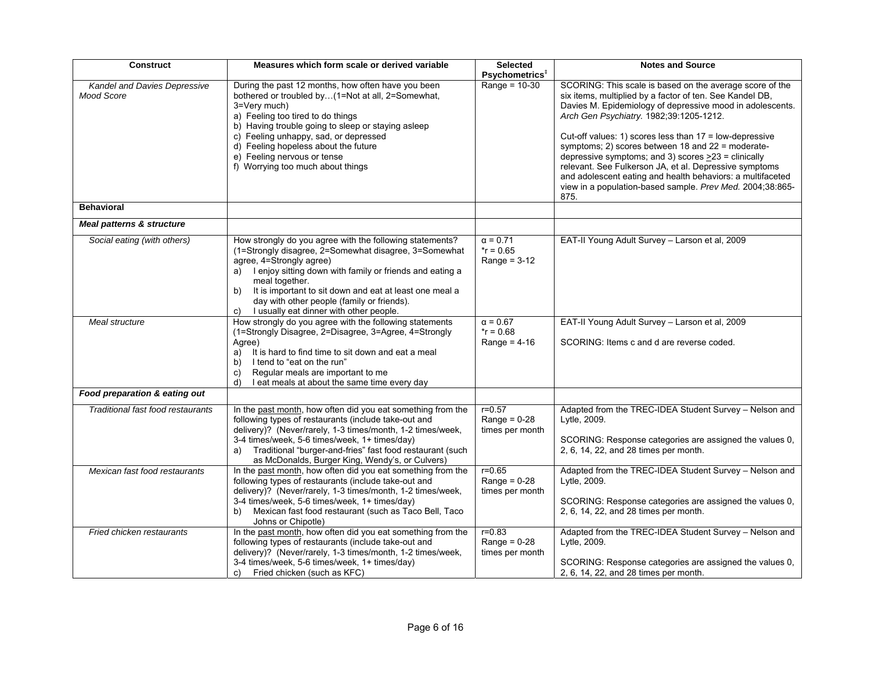| <b>Construct</b>                                         | Measures which form scale or derived variable                                                                                                                                                                                                                                                                                                                                                  | <b>Selected</b>                                   | <b>Notes and Source</b>                                                                                                                                                                                                                                                                                                                                                                                                                                                                                                                                                                                  |
|----------------------------------------------------------|------------------------------------------------------------------------------------------------------------------------------------------------------------------------------------------------------------------------------------------------------------------------------------------------------------------------------------------------------------------------------------------------|---------------------------------------------------|----------------------------------------------------------------------------------------------------------------------------------------------------------------------------------------------------------------------------------------------------------------------------------------------------------------------------------------------------------------------------------------------------------------------------------------------------------------------------------------------------------------------------------------------------------------------------------------------------------|
| <b>Kandel and Davies Depressive</b><br><b>Mood Score</b> | During the past 12 months, how often have you been<br>bothered or troubled by(1=Not at all, 2=Somewhat,<br>3=Very much)<br>a) Feeling too tired to do things<br>b) Having trouble going to sleep or staying asleep<br>c) Feeling unhappy, sad, or depressed<br>d) Feeling hopeless about the future<br>e) Feeling nervous or tense<br>f) Worrying too much about things                        | Psychometrics <sup>#</sup><br>Range = $10-30$     | SCORING: This scale is based on the average score of the<br>six items, multiplied by a factor of ten. See Kandel DB,<br>Davies M. Epidemiology of depressive mood in adolescents.<br>Arch Gen Psychiatry. 1982;39:1205-1212.<br>Cut-off values: 1) scores less than $17 =$ low-depressive<br>symptoms; 2) scores between 18 and 22 = moderate-<br>depressive symptoms; and 3) scores $\geq$ 23 = clinically<br>relevant. See Fulkerson JA, et al. Depressive symptoms<br>and adolescent eating and health behaviors: a multifaceted<br>view in a population-based sample. Prev Med. 2004;38:865-<br>875. |
| <b>Behavioral</b>                                        |                                                                                                                                                                                                                                                                                                                                                                                                |                                                   |                                                                                                                                                                                                                                                                                                                                                                                                                                                                                                                                                                                                          |
| Meal patterns & structure                                |                                                                                                                                                                                                                                                                                                                                                                                                |                                                   |                                                                                                                                                                                                                                                                                                                                                                                                                                                                                                                                                                                                          |
| Social eating (with others)                              | How strongly do you agree with the following statements?<br>(1=Strongly disagree, 2=Somewhat disagree, 3=Somewhat<br>agree, 4=Strongly agree)<br>a) I enjoy sitting down with family or friends and eating a<br>meal together.<br>It is important to sit down and eat at least one meal a<br>b)<br>day with other people (family or friends).<br>I usually eat dinner with other people.<br>C) | $\alpha = 0.71$<br>$*$ r = 0.65<br>Range = $3-12$ | EAT-II Young Adult Survey - Larson et al, 2009                                                                                                                                                                                                                                                                                                                                                                                                                                                                                                                                                           |
| Meal structure                                           | How strongly do you agree with the following statements<br>(1=Strongly Disagree, 2=Disagree, 3=Agree, 4=Strongly<br>Agree)<br>It is hard to find time to sit down and eat a meal<br>a)<br>I tend to "eat on the run"<br>b)<br>Regular meals are important to me<br>C)<br>I eat meals at about the same time every day<br>d)                                                                    | $\alpha = 0.67$<br>$*$ r = 0.68<br>Range = $4-16$ | EAT-II Young Adult Survey - Larson et al, 2009<br>SCORING: Items c and d are reverse coded.                                                                                                                                                                                                                                                                                                                                                                                                                                                                                                              |
| Food preparation & eating out                            |                                                                                                                                                                                                                                                                                                                                                                                                |                                                   |                                                                                                                                                                                                                                                                                                                                                                                                                                                                                                                                                                                                          |
| Traditional fast food restaurants                        | In the past month, how often did you eat something from the<br>following types of restaurants (include take-out and<br>delivery)? (Never/rarely, 1-3 times/month, 1-2 times/week,<br>3-4 times/week, 5-6 times/week, 1+ times/day)<br>a) Traditional "burger-and-fries" fast food restaurant (such<br>as McDonalds, Burger King, Wendy's, or Culvers)                                          | $r = 0.57$<br>Range = $0-28$<br>times per month   | Adapted from the TREC-IDEA Student Survey - Nelson and<br>Lytle, 2009.<br>SCORING: Response categories are assigned the values 0,<br>2, 6, 14, 22, and 28 times per month.                                                                                                                                                                                                                                                                                                                                                                                                                               |
| Mexican fast food restaurants                            | In the past month, how often did you eat something from the<br>following types of restaurants (include take-out and<br>delivery)? (Never/rarely, 1-3 times/month, 1-2 times/week,<br>3-4 times/week, 5-6 times/week, 1+ times/day)<br>b) Mexican fast food restaurant (such as Taco Bell, Taco<br>Johns or Chipotle)                                                                           | $r = 0.65$<br>$Range = 0-28$<br>times per month   | Adapted from the TREC-IDEA Student Survey - Nelson and<br>Lytle, 2009.<br>SCORING: Response categories are assigned the values 0,<br>2, 6, 14, 22, and 28 times per month.                                                                                                                                                                                                                                                                                                                                                                                                                               |
| Fried chicken restaurants                                | In the past month, how often did you eat something from the<br>following types of restaurants (include take-out and<br>delivery)? (Never/rarely, 1-3 times/month, 1-2 times/week,<br>3-4 times/week, 5-6 times/week, 1+ times/day)<br>Fried chicken (such as KFC)<br>C)                                                                                                                        | $r = 0.83$<br>Range = $0-28$<br>times per month   | Adapted from the TREC-IDEA Student Survey - Nelson and<br>Lytle, 2009.<br>SCORING: Response categories are assigned the values 0,<br>2, 6, 14, 22, and 28 times per month.                                                                                                                                                                                                                                                                                                                                                                                                                               |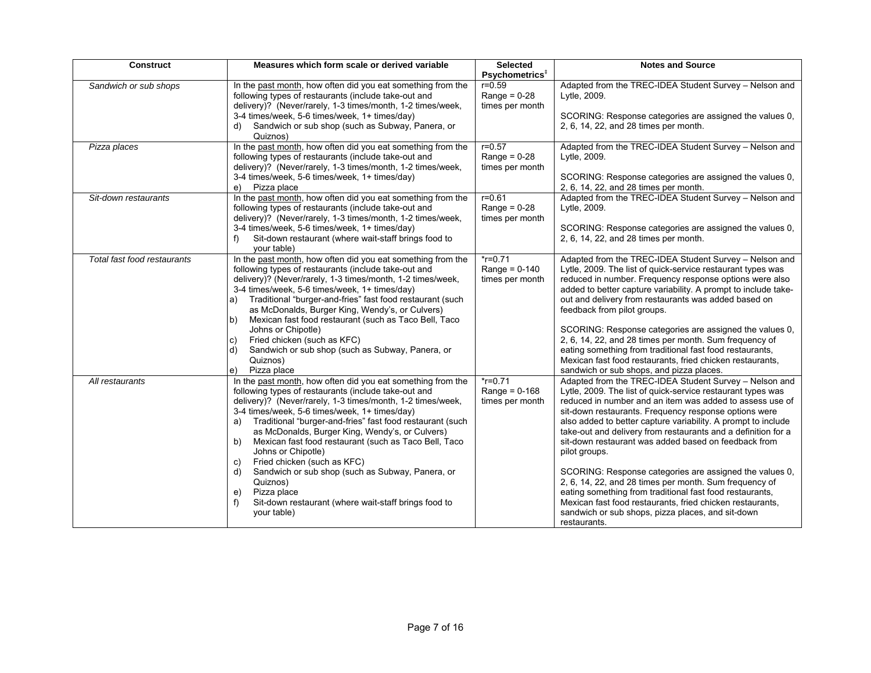| <b>Construct</b>            | Measures which form scale or derived variable                                                                                                                                                                                                                                                                                                                                                                                                                                                                                                                                                                                                              | <b>Selected</b><br>Psychometrics <sup>#</sup>    | <b>Notes and Source</b>                                                                                                                                                                                                                                                                                                                                                                                                                                                                                                                                                                                                                                                                                                                                                  |
|-----------------------------|------------------------------------------------------------------------------------------------------------------------------------------------------------------------------------------------------------------------------------------------------------------------------------------------------------------------------------------------------------------------------------------------------------------------------------------------------------------------------------------------------------------------------------------------------------------------------------------------------------------------------------------------------------|--------------------------------------------------|--------------------------------------------------------------------------------------------------------------------------------------------------------------------------------------------------------------------------------------------------------------------------------------------------------------------------------------------------------------------------------------------------------------------------------------------------------------------------------------------------------------------------------------------------------------------------------------------------------------------------------------------------------------------------------------------------------------------------------------------------------------------------|
| Sandwich or sub shops       | In the past month, how often did you eat something from the<br>following types of restaurants (include take-out and<br>delivery)? (Never/rarely, 1-3 times/month, 1-2 times/week,<br>3-4 times/week, 5-6 times/week, 1+ times/day)<br>Sandwich or sub shop (such as Subway, Panera, or<br>d)<br>Quiznos)                                                                                                                                                                                                                                                                                                                                                   | $r = 0.59$<br>Range = $0-28$<br>times per month  | Adapted from the TREC-IDEA Student Survey - Nelson and<br>Lytle, 2009.<br>SCORING: Response categories are assigned the values 0,<br>2, 6, 14, 22, and 28 times per month.                                                                                                                                                                                                                                                                                                                                                                                                                                                                                                                                                                                               |
| Pizza places                | In the past month, how often did you eat something from the<br>following types of restaurants (include take-out and<br>delivery)? (Never/rarely, 1-3 times/month, 1-2 times/week,<br>3-4 times/week, 5-6 times/week, 1+ times/day)<br>Pizza place<br>e)                                                                                                                                                                                                                                                                                                                                                                                                    | $r = 0.57$<br>Range = $0-28$<br>times per month  | Adapted from the TREC-IDEA Student Survey - Nelson and<br>Lytle, 2009.<br>SCORING: Response categories are assigned the values 0,<br>2, 6, 14, 22, and 28 times per month.                                                                                                                                                                                                                                                                                                                                                                                                                                                                                                                                                                                               |
| Sit-down restaurants        | In the past month, how often did you eat something from the<br>following types of restaurants (include take-out and<br>delivery)? (Never/rarely, 1-3 times/month, 1-2 times/week,<br>3-4 times/week, 5-6 times/week, 1+ times/day)<br>Sit-down restaurant (where wait-staff brings food to<br>vour table)                                                                                                                                                                                                                                                                                                                                                  | $r = 0.61$<br>Range = $0-28$<br>times per month  | Adapted from the TREC-IDEA Student Survey - Nelson and<br>Lytle, 2009.<br>SCORING: Response categories are assigned the values 0,<br>2, 6, 14, 22, and 28 times per month.                                                                                                                                                                                                                                                                                                                                                                                                                                                                                                                                                                                               |
| Total fast food restaurants | In the past month, how often did you eat something from the<br>following types of restaurants (include take-out and<br>delivery)? (Never/rarely, 1-3 times/month, 1-2 times/week,<br>3-4 times/week, 5-6 times/week, 1+ times/day)<br>Traditional "burger-and-fries" fast food restaurant (such<br>a)<br>as McDonalds, Burger King, Wendy's, or Culvers)<br>Mexican fast food restaurant (such as Taco Bell, Taco<br>b)<br>Johns or Chipotle)<br>Fried chicken (such as KFC)<br>C)<br>Sandwich or sub shop (such as Subway, Panera, or<br>d)<br>Quiznos)<br>Pizza place<br>e)                                                                              | $*$ r=0.71<br>Range = $0-140$<br>times per month | Adapted from the TREC-IDEA Student Survey - Nelson and<br>Lytle, 2009. The list of quick-service restaurant types was<br>reduced in number. Frequency response options were also<br>added to better capture variability. A prompt to include take-<br>out and delivery from restaurants was added based on<br>feedback from pilot groups.<br>SCORING: Response categories are assigned the values 0,<br>2, 6, 14, 22, and 28 times per month. Sum frequency of<br>eating something from traditional fast food restaurants,<br>Mexican fast food restaurants, fried chicken restaurants,<br>sandwich or sub shops, and pizza places.                                                                                                                                      |
| All restaurants             | In the past month, how often did you eat something from the<br>following types of restaurants (include take-out and<br>delivery)? (Never/rarely, 1-3 times/month, 1-2 times/week,<br>3-4 times/week, 5-6 times/week, 1+ times/day)<br>Traditional "burger-and-fries" fast food restaurant (such<br>a)<br>as McDonalds, Burger King, Wendy's, or Culvers)<br>b)<br>Mexican fast food restaurant (such as Taco Bell, Taco<br>Johns or Chipotle)<br>Fried chicken (such as KFC)<br>C)<br>Sandwich or sub shop (such as Subway, Panera, or<br>d)<br>Quiznos)<br>Pizza place<br>e)<br>f)<br>Sit-down restaurant (where wait-staff brings food to<br>your table) | $*$ r=0.71<br>Range = $0-168$<br>times per month | Adapted from the TREC-IDEA Student Survey - Nelson and<br>Lytle, 2009. The list of quick-service restaurant types was<br>reduced in number and an item was added to assess use of<br>sit-down restaurants. Frequency response options were<br>also added to better capture variability. A prompt to include<br>take-out and delivery from restaurants and a definition for a<br>sit-down restaurant was added based on feedback from<br>pilot groups.<br>SCORING: Response categories are assigned the values 0,<br>2, 6, 14, 22, and 28 times per month. Sum frequency of<br>eating something from traditional fast food restaurants,<br>Mexican fast food restaurants, fried chicken restaurants,<br>sandwich or sub shops, pizza places, and sit-down<br>restaurants. |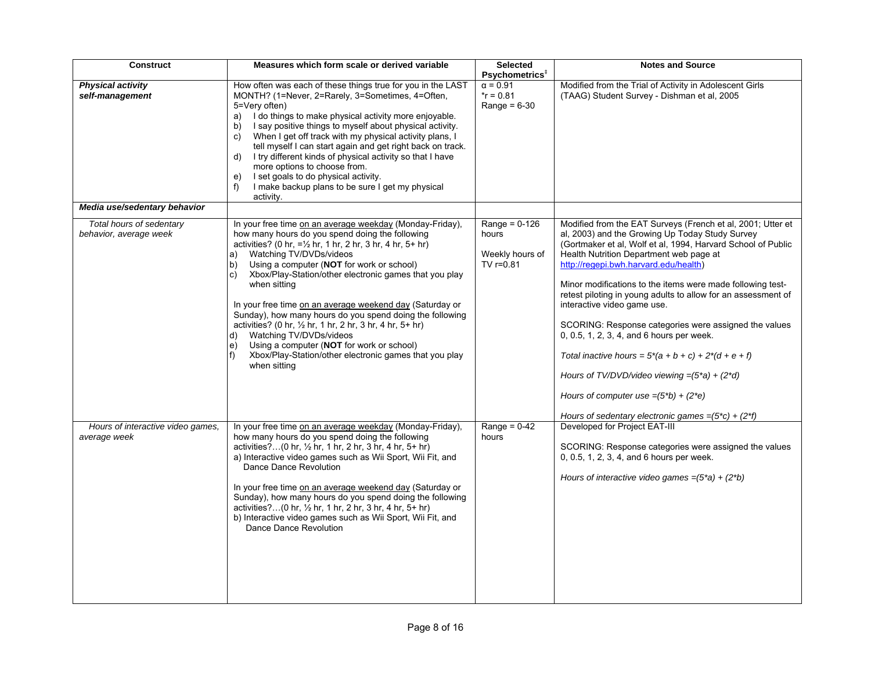| <b>Construct</b>                                   | Measures which form scale or derived variable                                                                                                                                                                                                                                                                                                                                                                                                                                                                                                                                                                                                                                                                                                        | <b>Selected</b><br>Psychometrics <sup>#</sup>                | <b>Notes and Source</b>                                                                                                                                                                                                                                                                                                                                                                                                                                                                                                                                                                                                                                                                                                                                  |
|----------------------------------------------------|------------------------------------------------------------------------------------------------------------------------------------------------------------------------------------------------------------------------------------------------------------------------------------------------------------------------------------------------------------------------------------------------------------------------------------------------------------------------------------------------------------------------------------------------------------------------------------------------------------------------------------------------------------------------------------------------------------------------------------------------------|--------------------------------------------------------------|----------------------------------------------------------------------------------------------------------------------------------------------------------------------------------------------------------------------------------------------------------------------------------------------------------------------------------------------------------------------------------------------------------------------------------------------------------------------------------------------------------------------------------------------------------------------------------------------------------------------------------------------------------------------------------------------------------------------------------------------------------|
| <b>Physical activity</b><br>self-management        | How often was each of these things true for you in the LAST<br>MONTH? (1=Never, 2=Rarely, 3=Sometimes, 4=Often,<br>5=Very often)<br>a) I do things to make physical activity more enjoyable.<br>I say positive things to myself about physical activity.<br>b)<br>When I get off track with my physical activity plans, I<br>C)<br>tell myself I can start again and get right back on track.<br>I try different kinds of physical activity so that I have<br>d)<br>more options to choose from.<br>I set goals to do physical activity.<br>e)<br>I make backup plans to be sure I get my physical<br>f)<br>activity.                                                                                                                                | $\alpha = 0.91$<br>$r = 0.81$<br>Range = $6-30$              | Modified from the Trial of Activity in Adolescent Girls<br>(TAAG) Student Survey - Dishman et al, 2005                                                                                                                                                                                                                                                                                                                                                                                                                                                                                                                                                                                                                                                   |
| Media use/sedentary behavior                       |                                                                                                                                                                                                                                                                                                                                                                                                                                                                                                                                                                                                                                                                                                                                                      |                                                              |                                                                                                                                                                                                                                                                                                                                                                                                                                                                                                                                                                                                                                                                                                                                                          |
| Total hours of sedentary<br>behavior, average week | In your free time on an average weekday (Monday-Friday),<br>how many hours do you spend doing the following<br>activities? (0 hr, $=$ 1/2 hr, 1 hr, 2 hr, 3 hr, 4 hr, 5+ hr)<br>Watching TV/DVDs/videos<br>a)<br>Using a computer (NOT for work or school)<br>$\mathsf{b}$<br>Xbox/Play-Station/other electronic games that you play<br>$\vert$ C)<br>when sitting<br>In your free time on an average weekend day (Saturday or<br>Sunday), how many hours do you spend doing the following<br>activities? (0 hr, $\frac{1}{2}$ hr, 1 hr, 2 hr, 3 hr, 4 hr, 5+ hr)<br>Watching TV/DVDs/videos<br>d)<br>Using a computer (NOT for work or school)<br>$\vert e \rangle$<br>Xbox/Play-Station/other electronic games that you play<br>f)<br>when sitting | Range = $0-126$<br>hours<br>Weekly hours of<br>TV $r = 0.81$ | Modified from the EAT Surveys (French et al, 2001; Utter et<br>al, 2003) and the Growing Up Today Study Survey<br>(Gortmaker et al, Wolf et al, 1994, Harvard School of Public<br>Health Nutrition Department web page at<br>http://regepi.bwh.harvard.edu/health)<br>Minor modifications to the items were made following test-<br>retest piloting in young adults to allow for an assessment of<br>interactive video game use.<br>SCORING: Response categories were assigned the values<br>0, 0.5, 1, 2, 3, 4, and 6 hours per week.<br>Total inactive hours = $5*(a + b + c) + 2*(d + e + f)$<br>Hours of TV/DVD/video viewing = $(5^*a) + (2^*d)$<br>Hours of computer use $=(5*b) + (2*e)$<br>Hours of sedentary electronic games = $(5*c) + (2*f)$ |
| Hours of interactive video games,<br>average week  | In your free time on an average weekday (Monday-Friday),<br>how many hours do you spend doing the following<br>activities?(0 hr, $\frac{1}{2}$ hr, 1 hr, 2 hr, 3 hr, 4 hr, 5+ hr)<br>a) Interactive video games such as Wii Sport, Wii Fit, and<br>Dance Dance Revolution<br>In your free time on an average weekend day (Saturday or<br>Sunday), how many hours do you spend doing the following<br>activities?(0 hr, $\frac{1}{2}$ hr, 1 hr, 2 hr, 3 hr, 4 hr, 5+ hr)<br>b) Interactive video games such as Wii Sport, Wii Fit, and<br>Dance Dance Revolution                                                                                                                                                                                      | Range = $0-42$<br>hours                                      | Developed for Project EAT-III<br>SCORING: Response categories were assigned the values<br>0, 0.5, 1, 2, 3, 4, and 6 hours per week.<br>Hours of interactive video games = $(5^*a) + (2^*b)$                                                                                                                                                                                                                                                                                                                                                                                                                                                                                                                                                              |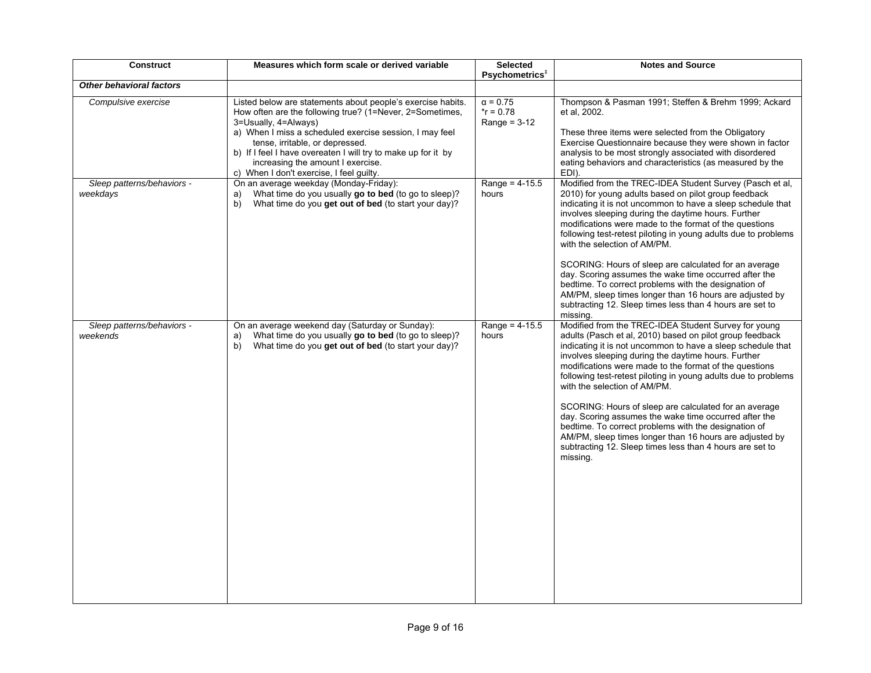| <b>Construct</b>                       | Measures which form scale or derived variable                                                                                                                                                                                                                                                                                                                                                   | <b>Selected</b><br>Psychometrics <sup>+</sup>     | <b>Notes and Source</b>                                                                                                                                                                                                                                                                                                                                                                                                                                                                                                                                                                                                                                                                                         |
|----------------------------------------|-------------------------------------------------------------------------------------------------------------------------------------------------------------------------------------------------------------------------------------------------------------------------------------------------------------------------------------------------------------------------------------------------|---------------------------------------------------|-----------------------------------------------------------------------------------------------------------------------------------------------------------------------------------------------------------------------------------------------------------------------------------------------------------------------------------------------------------------------------------------------------------------------------------------------------------------------------------------------------------------------------------------------------------------------------------------------------------------------------------------------------------------------------------------------------------------|
| <b>Other behavioral factors</b>        |                                                                                                                                                                                                                                                                                                                                                                                                 |                                                   |                                                                                                                                                                                                                                                                                                                                                                                                                                                                                                                                                                                                                                                                                                                 |
| Compulsive exercise                    | Listed below are statements about people's exercise habits.<br>How often are the following true? (1=Never, 2=Sometimes,<br>3=Usually, 4=Always)<br>a) When I miss a scheduled exercise session, I may feel<br>tense, irritable, or depressed.<br>b) If I feel I have overeaten I will try to make up for it by<br>increasing the amount I exercise.<br>c) When I don't exercise, I feel guilty. | $\alpha = 0.75$<br>$*$ r = 0.78<br>Range = $3-12$ | Thompson & Pasman 1991; Steffen & Brehm 1999; Ackard<br>et al. 2002.<br>These three items were selected from the Obligatory<br>Exercise Questionnaire because they were shown in factor<br>analysis to be most strongly associated with disordered<br>eating behaviors and characteristics (as measured by the<br>EDI).                                                                                                                                                                                                                                                                                                                                                                                         |
| Sleep patterns/behaviors -<br>weekdays | On an average weekday (Monday-Friday):<br>What time do you usually go to bed (to go to sleep)?<br>a)<br>What time do you get out of bed (to start your day)?<br>b)                                                                                                                                                                                                                              | Range = $4-15.5$<br>hours                         | Modified from the TREC-IDEA Student Survey (Pasch et al.<br>2010) for young adults based on pilot group feedback<br>indicating it is not uncommon to have a sleep schedule that<br>involves sleeping during the daytime hours. Further<br>modifications were made to the format of the questions<br>following test-retest piloting in young adults due to problems<br>with the selection of AM/PM.<br>SCORING: Hours of sleep are calculated for an average<br>day. Scoring assumes the wake time occurred after the<br>bedtime. To correct problems with the designation of<br>AM/PM, sleep times longer than 16 hours are adjusted by<br>subtracting 12. Sleep times less than 4 hours are set to<br>missing. |
| Sleep patterns/behaviors -<br>weekends | On an average weekend day (Saturday or Sunday):<br>What time do you usually go to bed (to go to sleep)?<br>a)<br>What time do you get out of bed (to start your day)?<br>b)                                                                                                                                                                                                                     | Range = $4 - 15.5$<br>hours                       | Modified from the TREC-IDEA Student Survey for young<br>adults (Pasch et al, 2010) based on pilot group feedback<br>indicating it is not uncommon to have a sleep schedule that<br>involves sleeping during the daytime hours. Further<br>modifications were made to the format of the questions<br>following test-retest piloting in young adults due to problems<br>with the selection of AM/PM.<br>SCORING: Hours of sleep are calculated for an average<br>day. Scoring assumes the wake time occurred after the<br>bedtime. To correct problems with the designation of<br>AM/PM, sleep times longer than 16 hours are adjusted by<br>subtracting 12. Sleep times less than 4 hours are set to<br>missing. |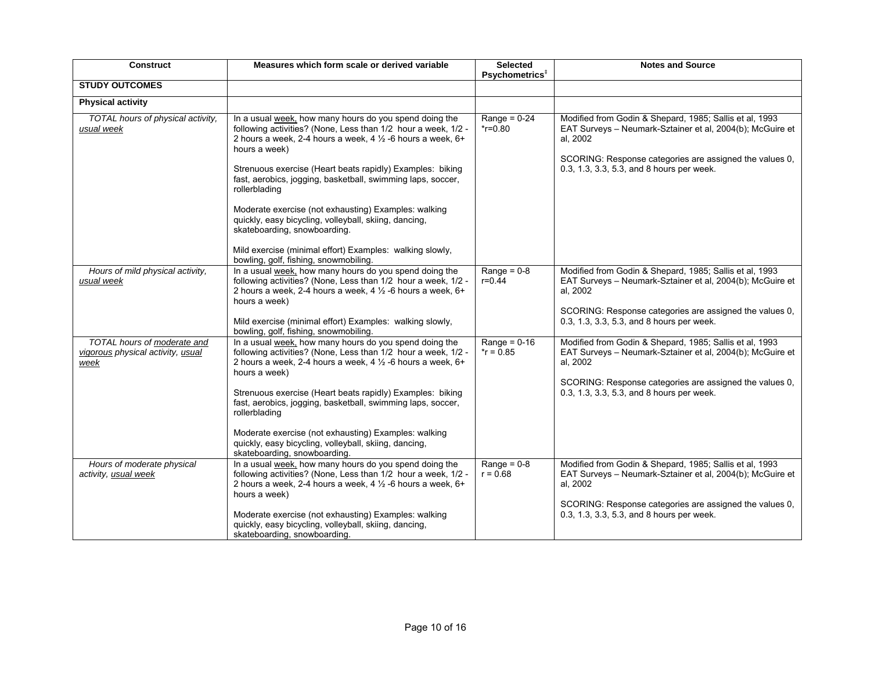| <b>Construct</b>                                                         | Measures which form scale or derived variable                                                                                                                                                                                                                                                                                                                                                                                                                                                                                                                                                                        | <b>Selected</b><br>Psychometrics <sup>#</sup> | <b>Notes and Source</b>                                                                                                                                                                                                                  |
|--------------------------------------------------------------------------|----------------------------------------------------------------------------------------------------------------------------------------------------------------------------------------------------------------------------------------------------------------------------------------------------------------------------------------------------------------------------------------------------------------------------------------------------------------------------------------------------------------------------------------------------------------------------------------------------------------------|-----------------------------------------------|------------------------------------------------------------------------------------------------------------------------------------------------------------------------------------------------------------------------------------------|
| <b>STUDY OUTCOMES</b>                                                    |                                                                                                                                                                                                                                                                                                                                                                                                                                                                                                                                                                                                                      |                                               |                                                                                                                                                                                                                                          |
| <b>Physical activity</b>                                                 |                                                                                                                                                                                                                                                                                                                                                                                                                                                                                                                                                                                                                      |                                               |                                                                                                                                                                                                                                          |
| TOTAL hours of physical activity,<br>usual week                          | In a usual week, how many hours do you spend doing the<br>following activities? (None, Less than 1/2 hour a week, 1/2 -<br>2 hours a week, 2-4 hours a week, 4 $\frac{1}{2}$ -6 hours a week, 6+<br>hours a week)<br>Strenuous exercise (Heart beats rapidly) Examples: biking<br>fast, aerobics, jogging, basketball, swimming laps, soccer,<br>rollerblading<br>Moderate exercise (not exhausting) Examples: walking<br>quickly, easy bicycling, volleyball, skiing, dancing,<br>skateboarding, snowboarding.<br>Mild exercise (minimal effort) Examples: walking slowly,<br>bowling, golf, fishing, snowmobiling. | Range = $0-24$<br>$*$ r=0.80                  | Modified from Godin & Shepard, 1985; Sallis et al, 1993<br>EAT Surveys - Neumark-Sztainer et al, 2004(b); McGuire et<br>al, 2002<br>SCORING: Response categories are assigned the values 0,<br>0.3, 1.3, 3.3, 5.3, and 8 hours per week. |
| Hours of mild physical activity,<br>usual week                           | In a usual week, how many hours do you spend doing the<br>following activities? (None, Less than 1/2 hour a week, 1/2 -<br>2 hours a week, 2-4 hours a week, 4 $\frac{1}{2}$ -6 hours a week, 6+<br>hours a week)<br>Mild exercise (minimal effort) Examples: walking slowly,<br>bowling, golf, fishing, snowmobiling.                                                                                                                                                                                                                                                                                               | Range = $0-8$<br>$r = 0.44$                   | Modified from Godin & Shepard, 1985; Sallis et al, 1993<br>EAT Surveys - Neumark-Sztainer et al, 2004(b); McGuire et<br>al, 2002<br>SCORING: Response categories are assigned the values 0,<br>0.3, 1.3, 3.3, 5.3, and 8 hours per week. |
| TOTAL hours of moderate and<br>vigorous physical activity, usual<br>week | In a usual week, how many hours do you spend doing the<br>following activities? (None, Less than 1/2 hour a week, 1/2 -<br>2 hours a week, 2-4 hours a week, 4 $\frac{1}{2}$ -6 hours a week, 6+<br>hours a week)<br>Strenuous exercise (Heart beats rapidly) Examples: biking<br>fast, aerobics, jogging, basketball, swimming laps, soccer,<br>rollerblading<br>Moderate exercise (not exhausting) Examples: walking<br>quickly, easy bicycling, volleyball, skiing, dancing,<br>skateboarding, snowboarding.                                                                                                      | Range = $0-16$<br>$*$ r = 0.85                | Modified from Godin & Shepard, 1985; Sallis et al, 1993<br>EAT Surveys - Neumark-Sztainer et al, 2004(b); McGuire et<br>al, 2002<br>SCORING: Response categories are assigned the values 0,<br>0.3, 1.3, 3.3, 5.3, and 8 hours per week. |
| Hours of moderate physical<br>activity, usual week                       | In a usual week, how many hours do you spend doing the<br>following activities? (None, Less than 1/2 hour a week, 1/2 -<br>2 hours a week, 2-4 hours a week, 4 $\frac{1}{2}$ -6 hours a week, 6+<br>hours a week)<br>Moderate exercise (not exhausting) Examples: walking<br>quickly, easy bicycling, volleyball, skiing, dancing,<br>skateboarding, snowboarding.                                                                                                                                                                                                                                                   | Range = $0-8$<br>$r = 0.68$                   | Modified from Godin & Shepard, 1985; Sallis et al, 1993<br>EAT Surveys - Neumark-Sztainer et al, 2004(b); McGuire et<br>al, 2002<br>SCORING: Response categories are assigned the values 0,<br>0.3, 1.3, 3.3, 5.3, and 8 hours per week. |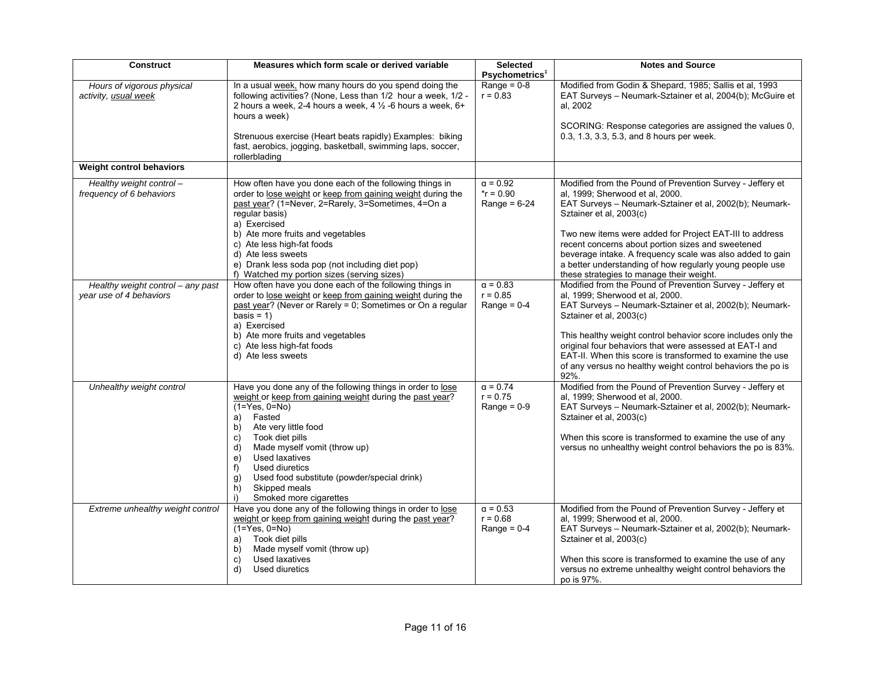| <b>Construct</b>                                             | Measures which form scale or derived variable                                                                                                                                                                                                                                                                                                                                                                          | <b>Selected</b><br>Psychometrics <sup>+</sup>     | <b>Notes and Source</b>                                                                                                                                                                                                                                                                                                                                                                                                                                                                          |
|--------------------------------------------------------------|------------------------------------------------------------------------------------------------------------------------------------------------------------------------------------------------------------------------------------------------------------------------------------------------------------------------------------------------------------------------------------------------------------------------|---------------------------------------------------|--------------------------------------------------------------------------------------------------------------------------------------------------------------------------------------------------------------------------------------------------------------------------------------------------------------------------------------------------------------------------------------------------------------------------------------------------------------------------------------------------|
| Hours of vigorous physical<br>activity, usual week           | In a usual week, how many hours do you spend doing the<br>following activities? (None, Less than 1/2 hour a week, 1/2 -<br>2 hours a week, 2-4 hours a week, 4 1/2 -6 hours a week, 6+<br>hours a week)<br>Strenuous exercise (Heart beats rapidly) Examples: biking<br>fast, aerobics, jogging, basketball, swimming laps, soccer,<br>rollerblading                                                                   | Range = $0-8$<br>$r = 0.83$                       | Modified from Godin & Shepard, 1985; Sallis et al, 1993<br>EAT Surveys - Neumark-Sztainer et al, 2004(b); McGuire et<br>al. 2002<br>SCORING: Response categories are assigned the values 0,<br>0.3, 1.3, 3.3, 5.3, and 8 hours per week.                                                                                                                                                                                                                                                         |
| <b>Weight control behaviors</b>                              |                                                                                                                                                                                                                                                                                                                                                                                                                        |                                                   |                                                                                                                                                                                                                                                                                                                                                                                                                                                                                                  |
| Healthy weight control-<br>frequency of 6 behaviors          | How often have you done each of the following things in<br>order to lose weight or keep from gaining weight during the<br>past year? (1=Never, 2=Rarely, 3=Sometimes, 4=On a<br>regular basis)<br>a) Exercised<br>b) Ate more fruits and vegetables<br>c) Ate less high-fat foods<br>d) Ate less sweets<br>e) Drank less soda pop (not including diet pop)                                                             | $\alpha = 0.92$<br>$*$ r = 0.90<br>Range = $6-24$ | Modified from the Pound of Prevention Survey - Jeffery et<br>al, 1999; Sherwood et al, 2000.<br>EAT Surveys - Neumark-Sztainer et al, 2002(b); Neumark-<br>Sztainer et al, 2003(c)<br>Two new items were added for Project EAT-III to address<br>recent concerns about portion sizes and sweetened<br>beverage intake. A frequency scale was also added to gain<br>a better understanding of how regularly young people use                                                                      |
| Healthy weight control - any past<br>year use of 4 behaviors | f) Watched my portion sizes (serving sizes)<br>How often have you done each of the following things in<br>order to lose weight or keep from gaining weight during the<br>past year? (Never or Rarely = 0; Sometimes or On a regular<br>$basis = 1$<br>a) Exercised<br>b) Ate more fruits and vegetables<br>c) Ate less high-fat foods<br>d) Ate less sweets                                                            | $\alpha = 0.83$<br>$r = 0.85$<br>Range = $0-4$    | these strategies to manage their weight.<br>Modified from the Pound of Prevention Survey - Jeffery et<br>al, 1999; Sherwood et al, 2000.<br>EAT Surveys - Neumark-Sztainer et al, 2002(b); Neumark-<br>Sztainer et al, 2003(c)<br>This healthy weight control behavior score includes only the<br>original four behaviors that were assessed at EAT-I and<br>EAT-II. When this score is transformed to examine the use<br>of any versus no healthy weight control behaviors the po is<br>$92%$ . |
| Unhealthy weight control                                     | Have you done any of the following things in order to lose<br>weight or keep from gaining weight during the past year?<br>$(1 = Yes, 0 = No)$<br>Fasted<br>a)<br>Ate very little food<br>b)<br>Took diet pills<br>C)<br>Made myself vomit (throw up)<br>d)<br>Used laxatives<br>e)<br>Used diuretics<br>f)<br>Used food substitute (powder/special drink)<br>g)<br>Skipped meals<br>h)<br>Smoked more cigarettes<br>i) | $\alpha = 0.74$<br>$r = 0.75$<br>Range = $0-9$    | Modified from the Pound of Prevention Survey - Jeffery et<br>al, 1999; Sherwood et al, 2000.<br>EAT Surveys - Neumark-Sztainer et al, 2002(b); Neumark-<br>Sztainer et al, 2003(c)<br>When this score is transformed to examine the use of any<br>versus no unhealthy weight control behaviors the po is 83%.                                                                                                                                                                                    |
| Extreme unhealthy weight control                             | Have you done any of the following things in order to lose<br>weight or keep from gaining weight during the past year?<br>$(1=\text{Yes}, 0=\text{No})$<br>Took diet pills<br>a)<br>Made myself vomit (throw up)<br>b)<br>Used laxatives<br>C)<br>Used diuretics<br>d)                                                                                                                                                 | $\alpha = 0.53$<br>$r = 0.68$<br>Range = $0-4$    | Modified from the Pound of Prevention Survey - Jeffery et<br>al, 1999; Sherwood et al, 2000.<br>EAT Surveys - Neumark-Sztainer et al, 2002(b); Neumark-<br>Sztainer et al, 2003(c)<br>When this score is transformed to examine the use of any<br>versus no extreme unhealthy weight control behaviors the<br>po is 97%.                                                                                                                                                                         |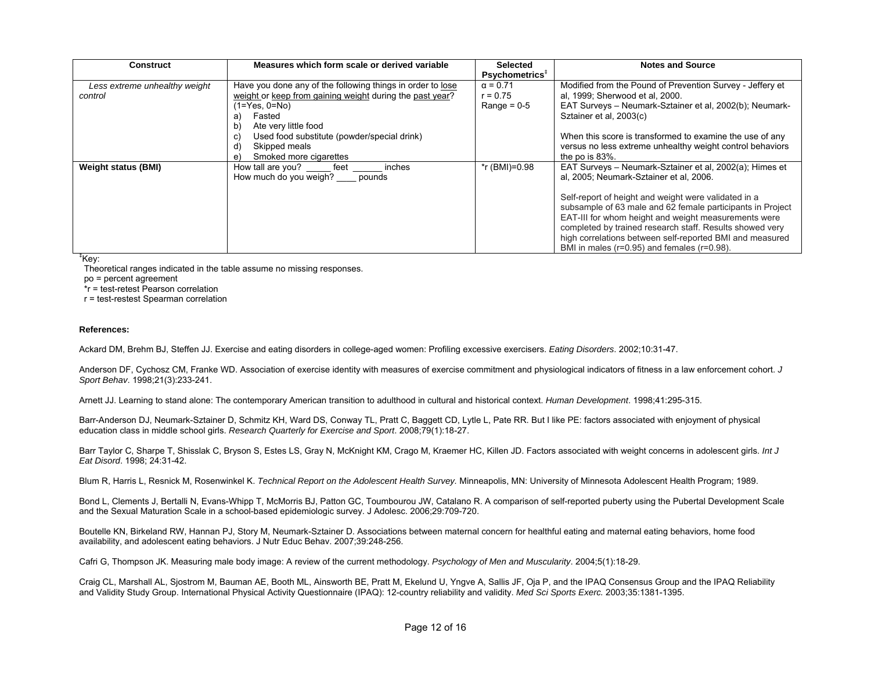| Construct                     | Measures which form scale or derived variable              | <b>Selected</b>            | <b>Notes and Source</b>                                    |
|-------------------------------|------------------------------------------------------------|----------------------------|------------------------------------------------------------|
|                               |                                                            | Psychometrics <sup>+</sup> |                                                            |
| Less extreme unhealthy weight | Have you done any of the following things in order to lose | $\alpha = 0.71$            | Modified from the Pound of Prevention Survey - Jeffery et  |
| control                       | weight or keep from gaining weight during the past year?   | $r = 0.75$                 | al, 1999; Sherwood et al, 2000.                            |
|                               | (1=Yes, 0=No)                                              | Range = $0-5$              | EAT Surveys - Neumark-Sztainer et al. 2002(b); Neumark-    |
|                               | Fasted<br>a)                                               |                            | Sztainer et al, 2003(c)                                    |
|                               | Ate very little food<br>b                                  |                            |                                                            |
|                               | Used food substitute (powder/special drink)<br>C)          |                            | When this score is transformed to examine the use of any   |
|                               | Skipped meals<br>d                                         |                            | versus no less extreme unhealthy weight control behaviors  |
|                               | Smoked more cigarettes<br>e                                |                            | the po is $83\%$ .                                         |
| <b>Weight status (BMI)</b>    | How tall are you?<br>feet<br>inches                        | *r (BMI)=0.98              | EAT Surveys - Neumark-Sztainer et al. 2002(a); Himes et    |
|                               | How much do you weigh? pounds                              |                            | al, 2005; Neumark-Sztainer et al, 2006.                    |
|                               |                                                            |                            |                                                            |
|                               |                                                            |                            | Self-report of height and weight were validated in a       |
|                               |                                                            |                            | subsample of 63 male and 62 female participants in Project |
|                               |                                                            |                            | EAT-III for whom height and weight measurements were       |
|                               |                                                            |                            | completed by trained research staff. Results showed very   |
|                               |                                                            |                            | high correlations between self-reported BMI and measured   |
|                               |                                                            |                            | BMI in males ( $r=0.95$ ) and females ( $r=0.98$ ).        |

**‡**Key:

Theoretical ranges indicated in the table assume no missing responses.

po = percent agreement

\*r = test-retest Pearson correlation

r = test-restest Spearman correlation

## **References:**

Ackard DM, Brehm BJ, Steffen JJ. Exercise and eating disorders in college-aged women: Profiling excessive exercisers. *Eating Disorders*. 2002;10:31-47.

Anderson DF, Cychosz CM, Franke WD. Association of exercise identity with measures of exercise commitment and physiological indicators of fitness in a law enforcement cohort. *J Sport Behav*. 1998;21(3):233-241.

Arnett JJ. Learning to stand alone: The contemporary American transition to adulthood in cultural and historical context. *Human Development*. 1998;41:295-315.

Barr-Anderson DJ, Neumark-Sztainer D, Schmitz KH, Ward DS, Conway TL, Pratt C, Baggett CD, Lytle L, Pate RR. But I like PE: factors associated with enjoyment of physical education class in middle school girls. *Research Quarterly for Exercise and Sport*. 2008;79(1):18-27.

Barr Taylor C, Sharpe T, Shisslak C, Bryson S, Estes LS, Gray N, McKnight KM, Crago M, Kraemer HC, Killen JD. Factors associated with weight concerns in adolescent girls. *Int J Eat Disord*. 1998; 24:31-42.

Blum R, Harris L, Resnick M, Rosenwinkel K. *Technical Report on the Adolescent Health Survey.* Minneapolis, MN: University of Minnesota Adolescent Health Program; 1989.

Bond L, Clements J, Bertalli N, Evans-Whipp T, McMorris BJ, Patton GC, Toumbourou JW, Catalano R. A comparison of self-reported puberty using the Pubertal Development Scale and the Sexual Maturation Scale in a school-based epidemiologic survey. J Adolesc. 2006;29:709-720.

Boutelle KN, Birkeland RW, Hannan PJ, Story M, Neumark-Sztainer D. Associations between maternal concern for healthful eating and maternal eating behaviors, home food availability, and adolescent eating behaviors. J Nutr Educ Behav. 2007;39:248-256.

Cafri G, Thompson JK. Measuring male body image: A review of the current methodology. *Psychology of Men and Muscularity*. 2004;5(1):18-29.

Craig CL, Marshall AL, Sjostrom M, Bauman AE, Booth ML, Ainsworth BE, Pratt M, Ekelund U, Yngve A, Sallis JF, Oja P, and the IPAQ Consensus Group and the IPAQ Reliability and Validity Study Group. International Physical Activity Questionnaire (IPAQ): 12-country reliability and validity. *Med Sci Sports Exerc.* 2003;35:1381-1395.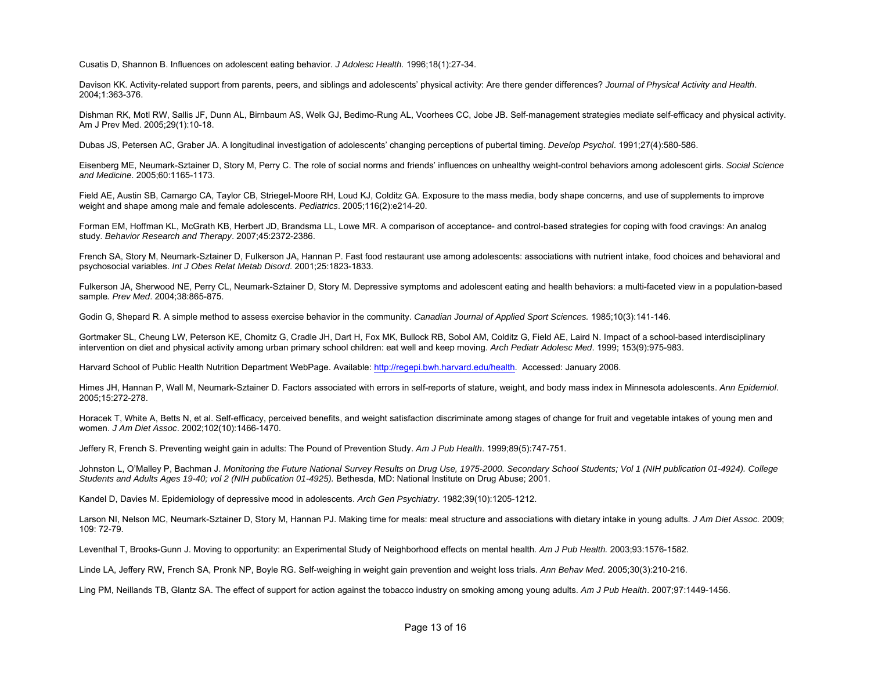Cusatis D, Shannon B. Influences on adolescent eating behavior. *J Adolesc Health.* 1996;18(1):27-34.

Davison KK. Activity-related support from parents, peers, and siblings and adolescents' physical activity: Are there gender differences? *Journal of Physical Activity and Health*. 2004;1:363-376.

Dishman RK, Motl RW, Sallis JF, Dunn AL, Birnbaum AS, Welk GJ, Bedimo-Rung AL, Voorhees CC, Jobe JB. Self-management strategies mediate self-efficacy and physical activity. Am J Prev Med. 2005;29(1):10-18.

Dubas JS, Petersen AC, Graber JA. A longitudinal investigation of adolescents' changing perceptions of pubertal timing. *Develop Psychol*. 1991;27(4):580-586.

Eisenberg ME, Neumark-Sztainer D, Story M, Perry C. The role of social norms and friends' influences on unhealthy weight-control behaviors among adolescent girls. *Social Science and Medicine*. 2005;60:1165-1173.

Field AE, Austin SB, Camargo CA, Taylor CB, Striegel-Moore RH, Loud KJ, Colditz GA. Exposure to the mass media, body shape concerns, and use of supplements to improve weight and shape among male and female adolescents. *Pediatrics*. 2005;116(2):e214-20.

Forman EM, Hoffman KL, McGrath KB, Herbert JD, Brandsma LL, Lowe MR. A comparison of acceptance- and control-based strategies for coping with food cravings: An analog study. *Behavior Research and Therapy*. 2007;45:2372-2386.

French SA, Story M, Neumark-Sztainer D, Fulkerson JA, Hannan P. Fast food restaurant use among adolescents: associations with nutrient intake, food choices and behavioral and psychosocial variables. *Int J Obes Relat Metab Disord*. 2001;25:1823-1833.

Fulkerson JA, Sherwood NE, Perry CL, Neumark-Sztainer D, Story M. Depressive symptoms and adolescent eating and health behaviors: a multi-faceted view in a population-based sample*. Prev Med*. 2004;38:865-875.

Godin G, Shepard R. A simple method to assess exercise behavior in the community. *Canadian Journal of Applied Sport Sciences.* 1985;10(3):141-146.

Gortmaker SL, Cheung LW, Peterson KE, Chomitz G, Cradle JH, Dart H, Fox MK, Bullock RB, Sobol AM, Colditz G, Field AE, Laird N. Impact of a school-based interdisciplinary intervention on diet and physical activity among urban primary school children: eat well and keep moving. *Arch Pediatr Adolesc Med*. 1999; 153(9):975-983.

Harvard School of Public Health Nutrition Department WebPage. Available: http://regepi.bwh.harvard.edu/health. Accessed: January 2006.

Himes JH, Hannan P, Wall M, Neumark-Sztainer D. Factors associated with errors in self-reports of stature, weight, and body mass index in Minnesota adolescents. *Ann Epidemiol*. 2005;15:272-278.

Horacek T, White A, Betts N, et al. Self-efficacy, perceived benefits, and weight satisfaction discriminate among stages of change for fruit and vegetable intakes of young men and women. *J Am Diet Assoc*. 2002;102(10):1466-1470.

Jeffery R, French S. Preventing weight gain in adults: The Pound of Prevention Study. *Am J Pub Health*. 1999;89(5):747-751.

Johnston L, O'Malley P, Bachman J. *Monitoring the Future National Survey Results on Drug Use, 1975-2000. Secondary School Students; Vol 1 (NIH publication 01-4924). College*  Students and Adults Ages 19-40; vol 2 (NIH publication 01-4925). Bethesda, MD: National Institute on Drug Abuse; 2001.

Kandel D, Davies M. Epidemiology of depressive mood in adolescents. *Arch Gen Psychiatry*. 1982;39(10):1205-1212.

Larson NI, Nelson MC, Neumark-Sztainer D, Story M, Hannan PJ. Making time for meals: meal structure and associations with dietary intake in young adults. *J Am Diet Assoc.* 2009; 109: 72-79.

Leventhal T, Brooks-Gunn J. Moving to opportunity: an Experimental Study of Neighborhood effects on mental health*. Am J Pub Health.* 2003;93:1576-1582.

Linde LA, Jeffery RW, French SA, Pronk NP, Boyle RG. Self-weighing in weight gain prevention and weight loss trials. *Ann Behav Med*. 2005;30(3):210-216.

Ling PM, Neillands TB, Glantz SA. The effect of support for action against the tobacco industry on smoking among young adults. *Am J Pub Health*. 2007;97:1449-1456.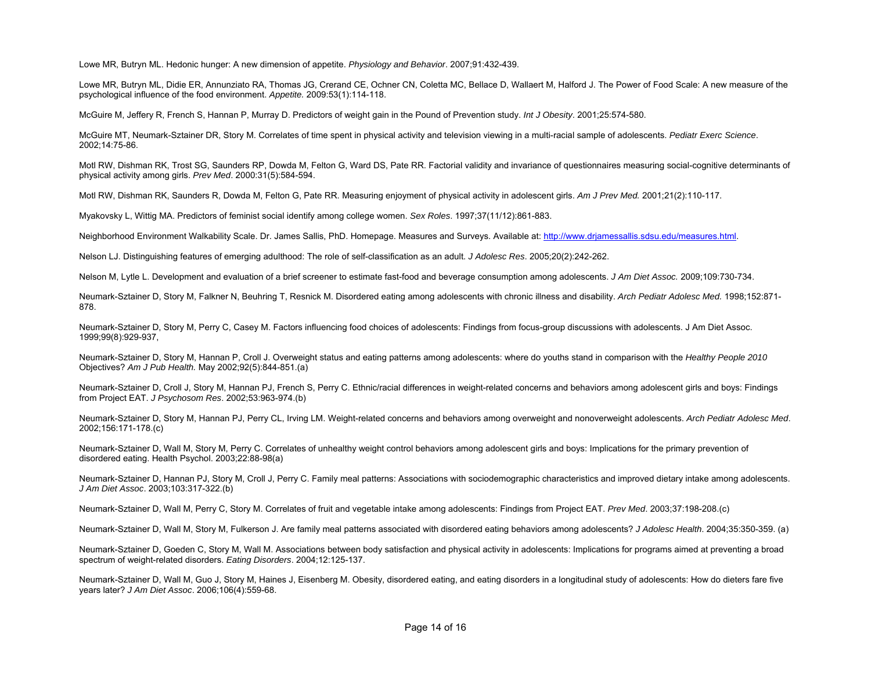Lowe MR, Butryn ML. Hedonic hunger: A new dimension of appetite. *Physiology and Behavior*. 2007;91:432-439.

Lowe MR, Butryn ML, Didie ER, Annunziato RA, Thomas JG, Crerand CE, Ochner CN, Coletta MC, Bellace D, Wallaert M, Halford J. The Power of Food Scale: A new measure of the psychological influence of the food environment. *Appetite.* 2009:53(1):114-118.

McGuire M, Jeffery R, French S, Hannan P, Murray D. Predictors of weight gain in the Pound of Prevention study. *Int J Obesity*. 2001;25:574-580.

McGuire MT, Neumark-Sztainer DR, Story M. Correlates of time spent in physical activity and television viewing in a multi-racial sample of adolescents. *Pediatr Exerc Science*. 2002;14:75-86.

Motl RW, Dishman RK, Trost SG, Saunders RP, Dowda M, Felton G, Ward DS, Pate RR. Factorial validity and invariance of questionnaires measuring social-cognitive determinants of physical activity among girls. *Prev Med*. 2000:31(5):584-594.

Motl RW, Dishman RK, Saunders R, Dowda M, Felton G, Pate RR. Measuring enjoyment of physical activity in adolescent girls. *Am J Prev Med.* 2001;21(2):110-117.

Myakovsky L, Wittig MA. Predictors of feminist social identify among college women. *Sex Roles*. 1997;37(11/12):861-883.

Neighborhood Environment Walkability Scale. Dr. James Sallis, PhD. Homepage. Measures and Surveys. Available at: http://www.driamessallis.sdsu.edu/measures.html.

Nelson LJ. Distinguishing features of emerging adulthood: The role of self-classification as an adult. *J Adolesc Res*. 2005;20(2):242-262.

Nelson M, Lytle L. Development and evaluation of a brief screener to estimate fast-food and beverage consumption among adolescents. *J Am Diet Assoc.* 2009;109:730-734.

Neumark-Sztainer D, Story M, Falkner N, Beuhring T, Resnick M. Disordered eating among adolescents with chronic illness and disability. *Arch Pediatr Adolesc Med.* 1998;152:871- 878.

Neumark-Sztainer D, Story M, Perry C, Casey M. Factors influencing food choices of adolescents: Findings from focus-group discussions with adolescents. J Am Diet Assoc. 1999;99(8):929-937,

Neumark-Sztainer D, Story M, Hannan P, Croll J. Overweight status and eating patterns among adolescents: where do youths stand in comparison with the *Healthy People 2010* Objectives? *Am J Pub Health.* May 2002;92(5):844-851.(a)

Neumark-Sztainer D, Croll J, Story M, Hannan PJ, French S, Perry C. Ethnic/racial differences in weight-related concerns and behaviors among adolescent girls and boys: Findings from Project EAT. *J Psychosom Res*. 2002;53:963-974.(b)

Neumark-Sztainer D, Story M, Hannan PJ, Perry CL, Irving LM. Weight-related concerns and behaviors among overweight and nonoverweight adolescents. *Arch Pediatr Adolesc Med*. 2002;156:171-178.(c)

Neumark-Sztainer D, Wall M, Story M, Perry C, Correlates of unhealthy weight control behaviors among adolescent girls and boys: Implications for the primary prevention of disordered eating. Health Psychol. 2003;22:88-98(a)

Neumark-Sztainer D, Hannan PJ, Story M, Croll J, Perry C. Family meal patterns: Associations with sociodemographic characteristics and improved dietary intake among adolescents. *J Am Diet Assoc*. 2003;103:317-322.(b)

Neumark-Sztainer D, Wall M, Perry C, Story M. Correlates of fruit and vegetable intake among adolescents: Findings from Project EAT. *Prev Med*. 2003;37:198-208.(c)

Neumark-Sztainer D, Wall M, Story M, Fulkerson J. Are family meal patterns associated with disordered eating behaviors among adolescents? *J Adolesc Health*. 2004;35:350-359. (a)

Neumark-Sztainer D, Goeden C, Story M, Wall M. Associations between body satisfaction and physical activity in adolescents: Implications for programs aimed at preventing a broad spectrum of weight-related disorders. *Eating Disorders*. 2004;12:125-137.

Neumark-Sztainer D, Wall M, Guo J, Story M, Haines J, Eisenberg M. Obesity, disordered eating, and eating disorders in a longitudinal study of adolescents: How do dieters fare five years later? *J Am Diet Assoc*. 2006;106(4):559-68.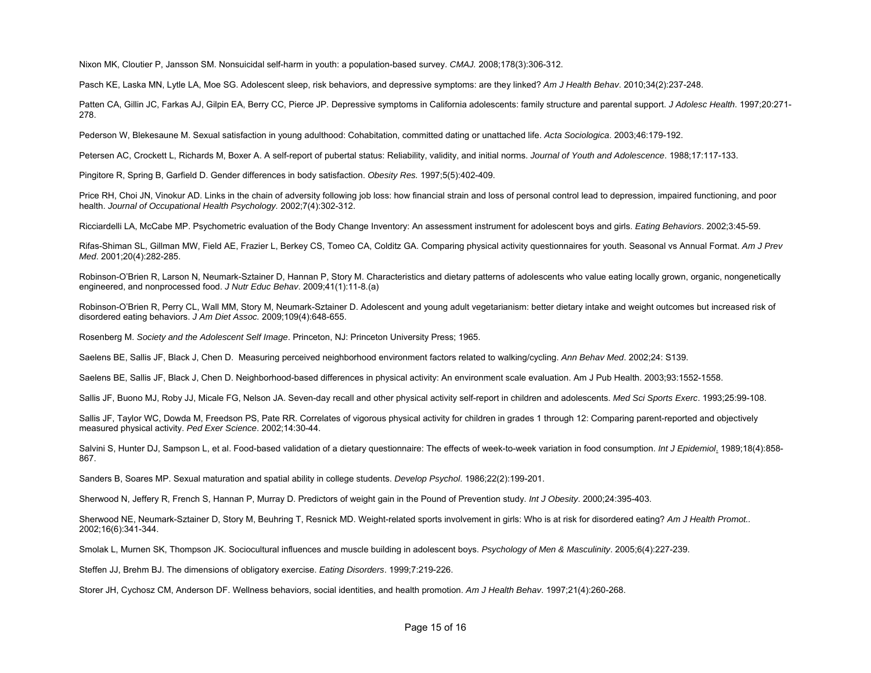Nixon MK, Cloutier P, Jansson SM. Nonsuicidal self-harm in youth: a population-based survey. *CMAJ.* 2008;178(3):306-312.

Pasch KE, Laska MN, Lytle LA, Moe SG. Adolescent sleep, risk behaviors, and depressive symptoms: are they linked? *Am J Health Behav*. 2010;34(2):237-248.

Patten CA, Gillin JC, Farkas AJ, Gilpin EA, Berry CC, Pierce JP. Depressive symptoms in California adolescents: family structure and parental support. *J Adolesc Health*. 1997;20:271- 278.

Pederson W, Blekesaune M. Sexual satisfaction in young adulthood: Cohabitation, committed dating or unattached life. *Acta Sociologica*. 2003;46:179-192.

Petersen AC, Crockett L, Richards M, Boxer A. A self-report of pubertal status: Reliability, validity, and initial norms. *Journal of Youth and Adolescence*. 1988;17:117-133.

Pingitore R, Spring B, Garfield D. Gender differences in body satisfaction. *Obesity Res.* 1997;5(5):402-409.

Price RH, Choi JN, Vinokur AD. Links in the chain of adversity following job loss: how financial strain and loss of personal control lead to depression, impaired functioning, and poor health. *Journal of Occupational Health Psychology.* 2002;7(4):302-312.

Ricciardelli LA, McCabe MP. Psychometric evaluation of the Body Change Inventory: An assessment instrument for adolescent boys and girls. *Eating Behaviors*. 2002;3:45-59.

Rifas-Shiman SL, Gillman MW, Field AE, Frazier L, Berkey CS, Tomeo CA, Colditz GA. Comparing physical activity questionnaires for youth. Seasonal vs Annual Format. *Am J Prev Med*. 2001;20(4):282-285.

Robinson-O'Brien R, Larson N, Neumark-Sztainer D, Hannan P, Story M. Characteristics and dietary patterns of adolescents who value eating locally grown, organic, nongenetically engineered, and nonprocessed food. *J Nutr Educ Behav*. 2009;41(1):11-8.(a)

Robinson-O'Brien R, Perry CL, Wall MM, Story M, Neumark-Sztainer D. Adolescent and young adult vegetarianism: better dietary intake and weight outcomes but increased risk of disordered eating behaviors. *J Am Diet Assoc.* 2009;109(4):648-655.

Rosenberg M. *Society and the Adolescent Self Image*. Princeton, NJ: Princeton University Press; 1965.

Saelens BE, Sallis JF, Black J, Chen D. Measuring perceived neighborhood environment factors related to walking/cycling. *Ann Behav Med*. 2002;24: S139.

Saelens BE, Sallis JF, Black J, Chen D. Neighborhood-based differences in physical activity: An environment scale evaluation. Am J Pub Health. 2003;93:1552-1558.

Sallis JF, Buono MJ, Roby JJ, Micale FG, Nelson JA. Seven-day recall and other physical activity self-report in children and adolescents. *Med Sci Sports Exerc*. 1993;25:99-108.

Sallis JF, Taylor WC, Dowda M, Freedson PS, Pate RR. Correlates of vigorous physical activity for children in grades 1 through 12: Comparing parent-reported and objectively measured physical activity. *Ped Exer Science*. 2002;14:30-44.

Salvini S, Hunter DJ, Sampson L, et al. Food-based validation of a dietary questionnaire: The effects of week-to-week variation in food consumption. *Int J Epidemiol*. 1989;18(4):858- 867.

Sanders B, Soares MP. Sexual maturation and spatial ability in college students. *Develop Psychol*. 1986;22(2):199-201.

Sherwood N, Jeffery R, French S, Hannan P, Murray D. Predictors of weight gain in the Pound of Prevention study. *Int J Obesity*. 2000;24:395-403.

Sherwood NE, Neumark-Sztainer D, Story M, Beuhring T, Resnick MD. Weight-related sports involvement in girls: Who is at risk for disordered eating? *Am J Health Promot..*  2002;16(6):341-344.

Smolak L, Murnen SK, Thompson JK. Sociocultural influences and muscle building in adolescent boys. *Psychology of Men & Masculinity*. 2005;6(4):227-239.

Steffen JJ, Brehm BJ. The dimensions of obligatory exercise. *Eating Disorders*. 1999;7:219-226.

Storer JH, Cychosz CM, Anderson DF. Wellness behaviors, social identities, and health promotion. *Am J Health Behav*. 1997;21(4):260-268.